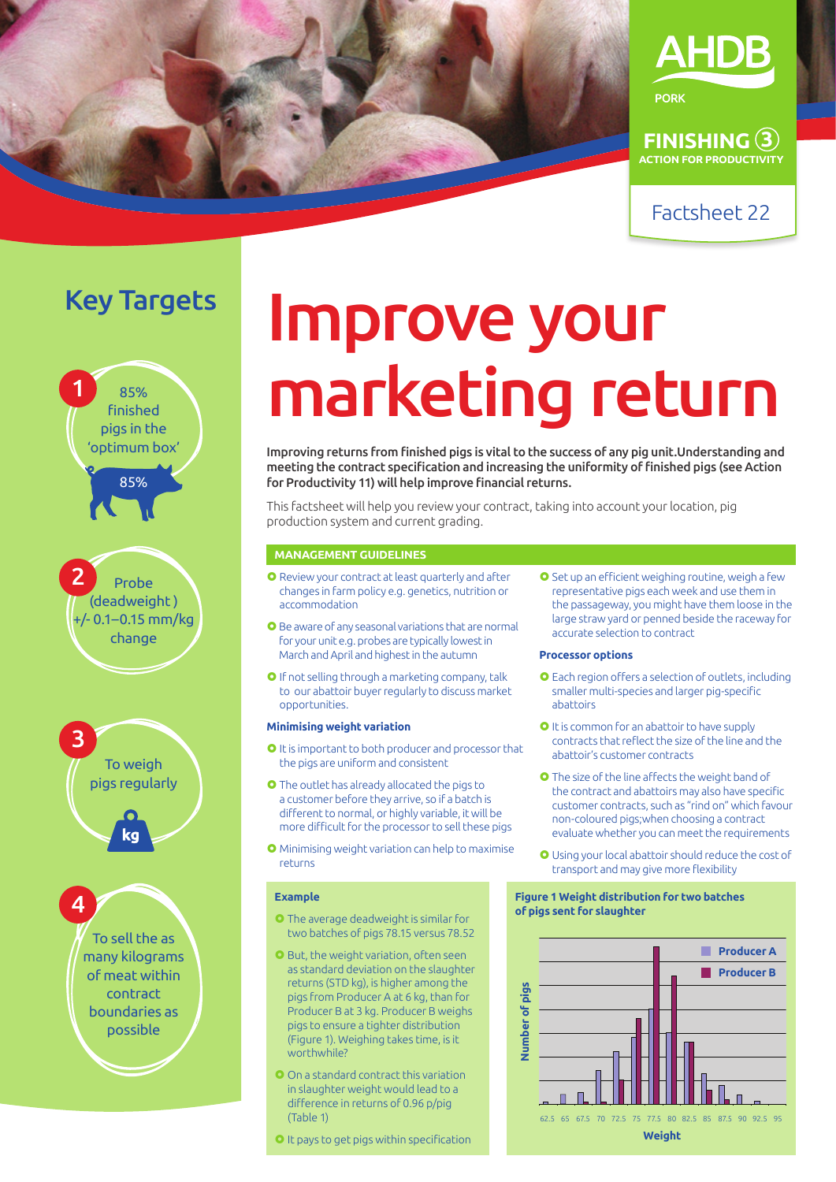



**FINISHING 3 ACTION FOR PRODUCTIVITY**

# Key Targets



pigs regularly

ka



# Improve your marketing return

Improving returns from finished pigs is vital to the success of any pig unit.Understanding and meeting the contract specification and increasing the uniformity of finished pigs (see Action for Productivity 11) will help improve financial returns.

This factsheet will help you review your contract, taking into account your location, pig production system and current grading.

# **MANAGEMENT GUIDELINES**

- **O** Review your contract at least quarterly and after changes in farm policy e.g. genetics, nutrition or accommodation
- **O** Be aware of any seasonal variations that are normal for your unit e.g. probes are typically lowest in March and April and highest in the autumn
- O If not selling through a marketing company, talk to our abattoir buyer regularly to discuss market opportunities.

# **Minimising weight variation**

- **O** It is important to both producer and processor that the pigs are uniform and consistent
- **O** The outlet has already allocated the pigs to a customer before they arrive, so if a batch is different to normal, or highly variable, it will be more difficult for the processor to sell these pigs
- Minimising weight variation can help to maximise returns

### **Example**

- **O** The average deadweight is similar for two batches of pigs 78.15 versus 78.52
- **O** But, the weight variation, often seen as standard deviation on the slaughter returns (STD kg), is higher among the pigs from Producer A at 6 kg, than for Producer B at 3 kg. Producer B weighs pigs to ensure a tighter distribution (Figure 1). Weighing takes time, is it worthwhile?
- On a standard contract this variation in slaughter weight would lead to a difference in returns of 0.96 p/pig (Table 1)
- It pays to get pigs within specification

O Set up an efficient weighing routine, weigh a few representative pigs each week and use them in the passageway, you might have them loose in the large straw yard or penned beside the raceway for accurate selection to contract

# **Processor options**

- Each region offers a selection of outlets, including smaller multi-species and larger pig-specific abattoirs
- O It is common for an abattoir to have supply contracts that reflect the size of the line and the abattoir's customer contracts
- **O** The size of the line affects the weight band of the contract and abattoirs may also have specific customer contracts, such as "rind on" which favour non-coloured pigs;when choosing a contract evaluate whether you can meet the requirements
- Using your local abattoir should reduce the cost of transport and may give more flexibility

# **Figure 1 Weight distribution for two batches of pigs sent for slaughter**